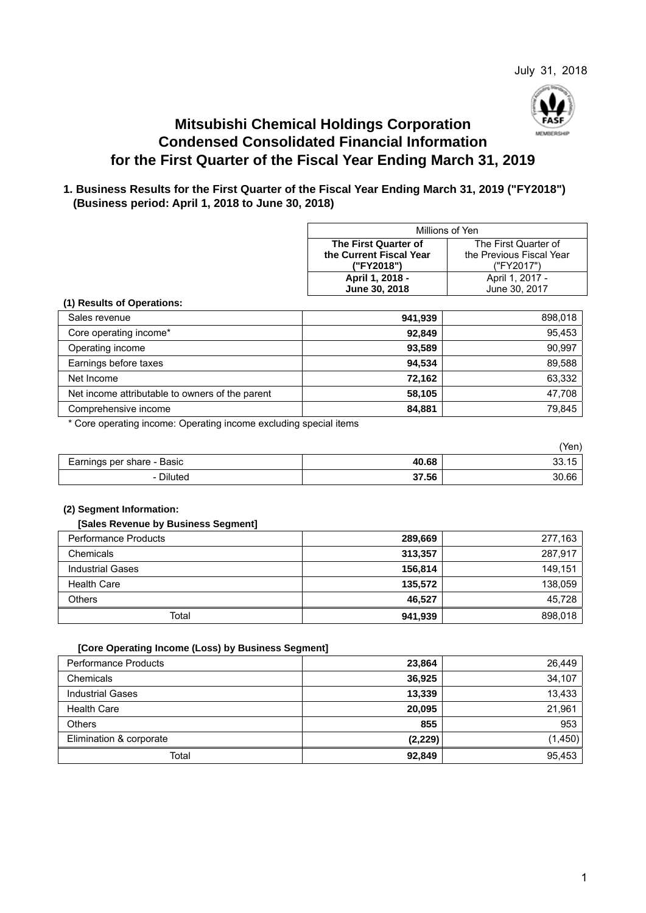

# **Mitsubishi Chemical Holdings Corporation Condensed Consolidated Financial Information for the First Quarter of the Fiscal Year Ending March 31, 2019**

# **1. Business Results for the First Quarter of the Fiscal Year Ending March 31, 2019 ("FY2018") (Business period: April 1, 2018 to June 30, 2018)**

| Millions of Yen                                     |                      |  |  |
|-----------------------------------------------------|----------------------|--|--|
| The First Quarter of                                | The First Quarter of |  |  |
| the Current Fiscal Year<br>the Previous Fiscal Year |                      |  |  |
| ("FY2018")<br>("FY2017")                            |                      |  |  |
| April 1, 2018 -                                     | April 1, 2017 -      |  |  |
| June 30, 2017<br>June 30, 2018                      |                      |  |  |

### **(1) Results of Operations:**

| Sales revenue                                   | 941.939 | 898,018 |
|-------------------------------------------------|---------|---------|
| Core operating income*                          | 92,849  | 95,453  |
| Operating income                                | 93,589  | 90,997  |
| Earnings before taxes                           | 94,534  | 89,588  |
| Net Income                                      | 72.162  | 63,332  |
| Net income attributable to owners of the parent | 58,105  | 47,708  |
| Comprehensive income                            | 84,881  | 79,845  |

\* Core operating income: Operating income excluding special items

|                            |       | (Yen) |
|----------------------------|-------|-------|
| Earnings per share - Basic | 40.68 | 33.15 |
| - Diluted                  | 37.56 | 30.66 |

### **(2) Segment Information:**

#### **[Sales Revenue by Business Segment]**

| Performance Products    | 289,669 | 277,163 |
|-------------------------|---------|---------|
| Chemicals               | 313,357 | 287,917 |
| <b>Industrial Gases</b> | 156,814 | 149.151 |
| <b>Health Care</b>      | 135,572 | 138,059 |
| <b>Others</b>           | 46,527  | 45,728  |
| Total                   | 941,939 | 898.018 |

### **[Core Operating Income (Loss) by Business Segment]**

| <b>Performance Products</b> | 23,864   | 26,449  |
|-----------------------------|----------|---------|
| Chemicals                   | 36,925   | 34,107  |
| <b>Industrial Gases</b>     | 13,339   | 13,433  |
| <b>Health Care</b>          | 20.095   | 21,961  |
| <b>Others</b>               | 855      | 953     |
| Elimination & corporate     | (2, 229) | (1,450) |
| Total                       | 92,849   | 95.453  |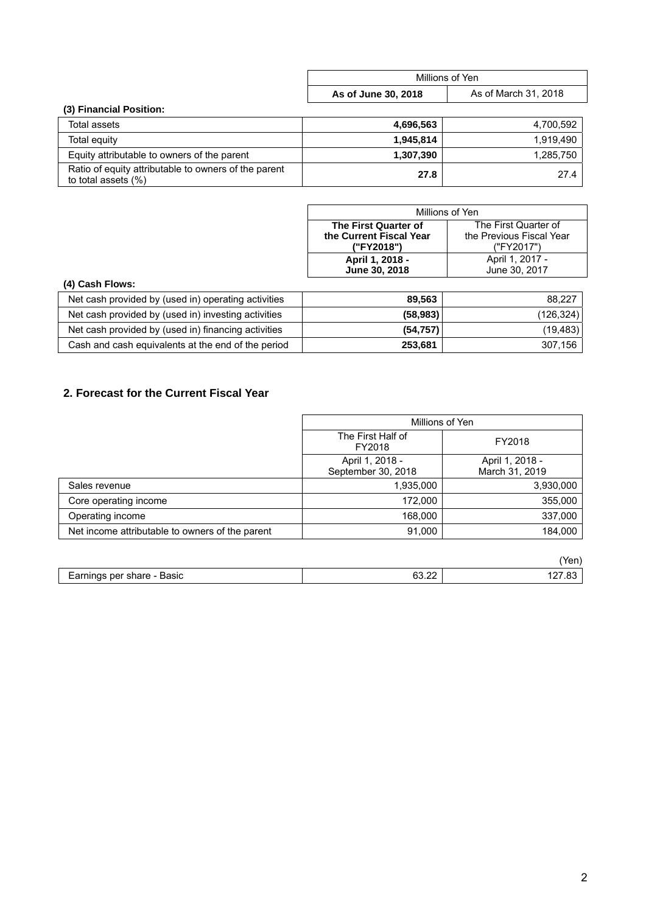|                                                                             | Millions of Yen     |                      |
|-----------------------------------------------------------------------------|---------------------|----------------------|
|                                                                             | As of June 30, 2018 | As of March 31, 2018 |
| (3) Financial Position:                                                     |                     |                      |
| Total assets                                                                | 4,696,563           | 4,700,592            |
| Total equity                                                                | 1,945,814           | 1,919,490            |
| Equity attributable to owners of the parent                                 | 1,307,390           | 1,285,750            |
| Ratio of equity attributable to owners of the parent<br>to total assets (%) | 27.8                | 27.4                 |

| Millions of Yen                                     |                      |  |
|-----------------------------------------------------|----------------------|--|
| The First Quarter of                                | The First Quarter of |  |
| the Previous Fiscal Year<br>the Current Fiscal Year |                      |  |
| ("FY2017")<br>("FY2018")                            |                      |  |
| April 1, 2018 -                                     | April 1, 2017 -      |  |
| June 30, 2018                                       | June 30, 2017        |  |

# **(4) Cash Flows:**

| Net cash provided by (used in) operating activities | 89.563    | 88.227     |
|-----------------------------------------------------|-----------|------------|
| Net cash provided by (used in) investing activities | (58, 983) | (126, 324) |
| Net cash provided by (used in) financing activities | (54, 757) | (19, 483)  |
| Cash and cash equivalents at the end of the period  | 253,681   | 307,156    |

# **2. Forecast for the Current Fiscal Year**

|                                                 | Millions of Yen                       |                                   |
|-------------------------------------------------|---------------------------------------|-----------------------------------|
|                                                 | The First Half of<br>FY2018           | FY2018                            |
|                                                 | April 1, 2018 -<br>September 30, 2018 | April 1, 2018 -<br>March 31, 2019 |
| Sales revenue                                   | 1,935,000                             | 3,930,000                         |
| Core operating income                           | 172,000                               | 355,000                           |
| Operating income                                | 168,000                               | 337,000                           |
| Net income attributable to owners of the parent | 91,000                                | 184,000                           |

|                               |                 | 'Yen,     |
|-------------------------------|-----------------|-----------|
| per share - Basic<br>Earnings | $\sim$<br>33.ZZ | $- - - -$ |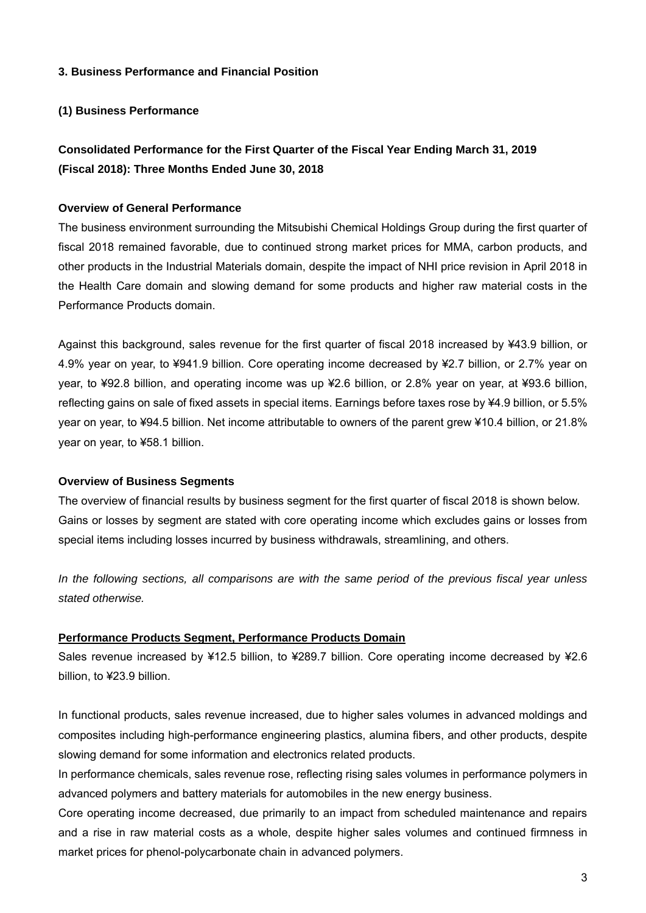# **3. Business Performance and Financial Position**

# **(1) Business Performance**

# **Consolidated Performance for the First Quarter of the Fiscal Year Ending March 31, 2019 (Fiscal 2018): Three Months Ended June 30, 2018**

# **Overview of General Performance**

The business environment surrounding the Mitsubishi Chemical Holdings Group during the first quarter of fiscal 2018 remained favorable, due to continued strong market prices for MMA, carbon products, and other products in the Industrial Materials domain, despite the impact of NHI price revision in April 2018 in the Health Care domain and slowing demand for some products and higher raw material costs in the Performance Products domain.

Against this background, sales revenue for the first quarter of fiscal 2018 increased by ¥43.9 billion, or 4.9% year on year, to ¥941.9 billion. Core operating income decreased by ¥2.7 billion, or 2.7% year on year, to ¥92.8 billion, and operating income was up ¥2.6 billion, or 2.8% year on year, at ¥93.6 billion, reflecting gains on sale of fixed assets in special items. Earnings before taxes rose by ¥4.9 billion, or 5.5% year on year, to ¥94.5 billion. Net income attributable to owners of the parent grew ¥10.4 billion, or 21.8% year on year, to ¥58.1 billion.

### **Overview of Business Segments**

The overview of financial results by business segment for the first quarter of fiscal 2018 is shown below. Gains or losses by segment are stated with core operating income which excludes gains or losses from special items including losses incurred by business withdrawals, streamlining, and others.

*In the following sections, all comparisons are with the same period of the previous fiscal year unless stated otherwise.* 

### **Performance Products Segment, Performance Products Domain**

Sales revenue increased by ¥12.5 billion, to ¥289.7 billion. Core operating income decreased by ¥2.6 billion, to ¥23.9 billion.

In functional products, sales revenue increased, due to higher sales volumes in advanced moldings and composites including high-performance engineering plastics, alumina fibers, and other products, despite slowing demand for some information and electronics related products.

In performance chemicals, sales revenue rose, reflecting rising sales volumes in performance polymers in advanced polymers and battery materials for automobiles in the new energy business.

Core operating income decreased, due primarily to an impact from scheduled maintenance and repairs and a rise in raw material costs as a whole, despite higher sales volumes and continued firmness in market prices for phenol-polycarbonate chain in advanced polymers.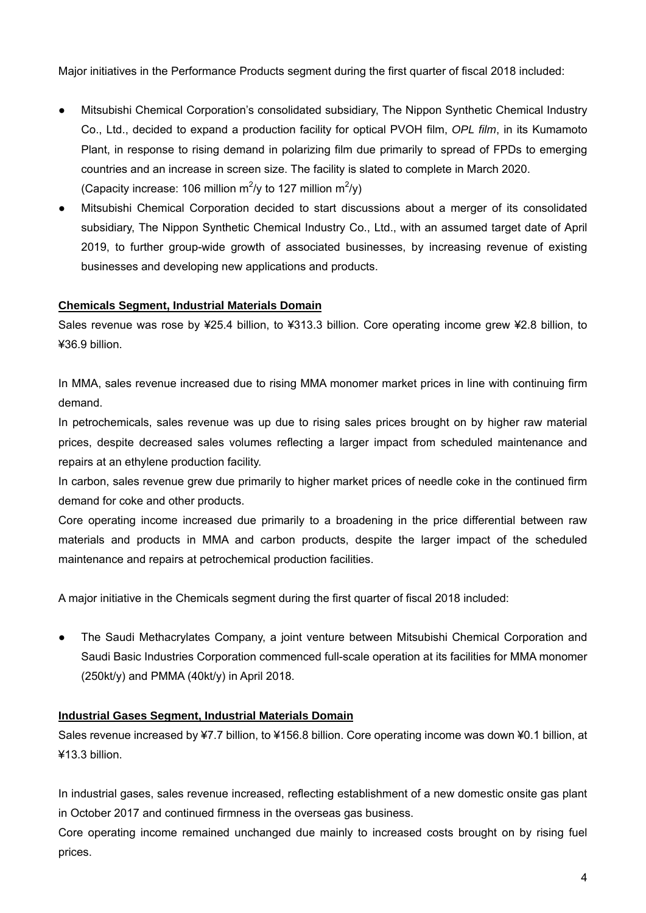Major initiatives in the Performance Products segment during the first quarter of fiscal 2018 included:

- Mitsubishi Chemical Corporation's consolidated subsidiary, The Nippon Synthetic Chemical Industry Co., Ltd., decided to expand a production facility for optical PVOH film, *OPL film*, in its Kumamoto Plant, in response to rising demand in polarizing film due primarily to spread of FPDs to emerging countries and an increase in screen size. The facility is slated to complete in March 2020. (Capacity increase: 106 million  $\text{m}^2$ /y to 127 million  $\text{m}^2$ /y)
- Mitsubishi Chemical Corporation decided to start discussions about a merger of its consolidated subsidiary, The Nippon Synthetic Chemical Industry Co., Ltd., with an assumed target date of April 2019, to further group-wide growth of associated businesses, by increasing revenue of existing businesses and developing new applications and products.

# **Chemicals Segment, Industrial Materials Domain**

Sales revenue was rose by ¥25.4 billion, to ¥313.3 billion. Core operating income grew ¥2.8 billion, to ¥36.9 billion.

In MMA, sales revenue increased due to rising MMA monomer market prices in line with continuing firm demand.

In petrochemicals, sales revenue was up due to rising sales prices brought on by higher raw material prices, despite decreased sales volumes reflecting a larger impact from scheduled maintenance and repairs at an ethylene production facility.

In carbon, sales revenue grew due primarily to higher market prices of needle coke in the continued firm demand for coke and other products.

Core operating income increased due primarily to a broadening in the price differential between raw materials and products in MMA and carbon products, despite the larger impact of the scheduled maintenance and repairs at petrochemical production facilities.

A major initiative in the Chemicals segment during the first quarter of fiscal 2018 included:

The Saudi Methacrylates Company, a joint venture between Mitsubishi Chemical Corporation and Saudi Basic Industries Corporation commenced full-scale operation at its facilities for MMA monomer (250kt/y) and PMMA (40kt/y) in April 2018.

### **Industrial Gases Segment, Industrial Materials Domain**

Sales revenue increased by ¥7.7 billion, to ¥156.8 billion. Core operating income was down ¥0.1 billion, at ¥13.3 billion.

In industrial gases, sales revenue increased, reflecting establishment of a new domestic onsite gas plant in October 2017 and continued firmness in the overseas gas business.

Core operating income remained unchanged due mainly to increased costs brought on by rising fuel prices.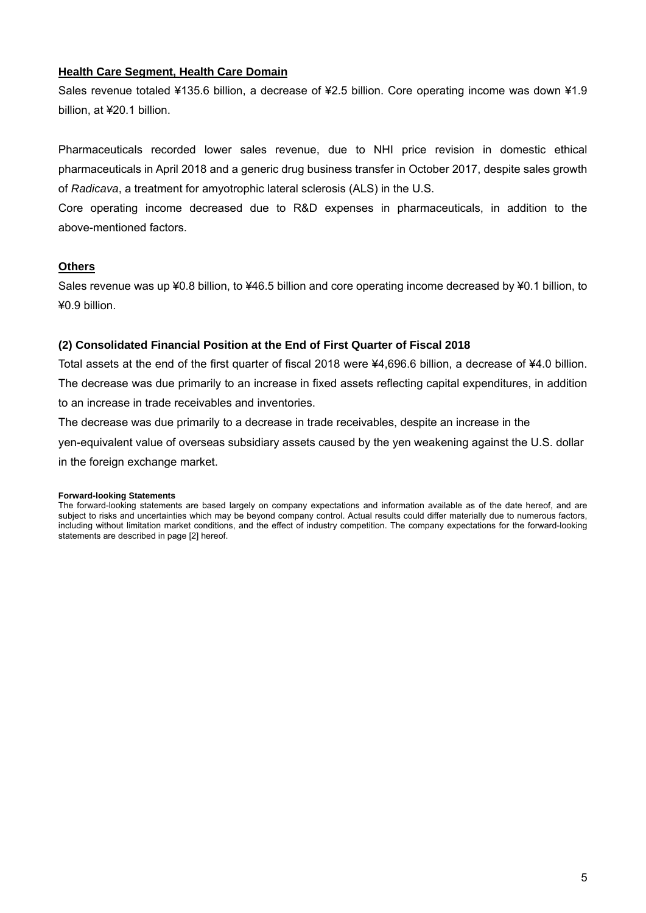# **Health Care Segment, Health Care Domain**

Sales revenue totaled ¥135.6 billion, a decrease of ¥2.5 billion. Core operating income was down ¥1.9 billion, at ¥20.1 billion.

Pharmaceuticals recorded lower sales revenue, due to NHI price revision in domestic ethical pharmaceuticals in April 2018 and a generic drug business transfer in October 2017, despite sales growth of *Radicava*, a treatment for amyotrophic lateral sclerosis (ALS) in the U.S.

Core operating income decreased due to R&D expenses in pharmaceuticals, in addition to the above-mentioned factors.

# **Others**

Sales revenue was up ¥0.8 billion, to ¥46.5 billion and core operating income decreased by ¥0.1 billion, to ¥0.9 billion.

# **(2) Consolidated Financial Position at the End of First Quarter of Fiscal 2018**

Total assets at the end of the first quarter of fiscal 2018 were ¥4,696.6 billion, a decrease of ¥4.0 billion. The decrease was due primarily to an increase in fixed assets reflecting capital expenditures, in addition to an increase in trade receivables and inventories.

The decrease was due primarily to a decrease in trade receivables, despite an increase in the yen-equivalent value of overseas subsidiary assets caused by the yen weakening against the U.S. dollar in the foreign exchange market.

#### **Forward-looking Statements**

The forward-looking statements are based largely on company expectations and information available as of the date hereof, and are subject to risks and uncertainties which may be beyond company control. Actual results could differ materially due to numerous factors, including without limitation market conditions, and the effect of industry competition. The company expectations for the forward-looking statements are described in page [2] hereof.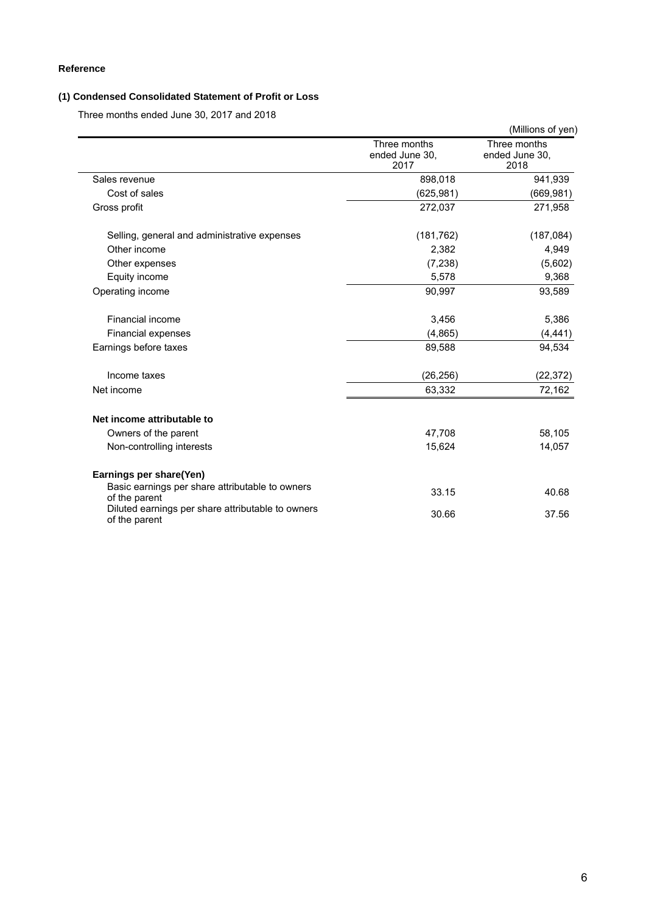# **Reference**

# **(1) Condensed Consolidated Statement of Profit or Loss**

Three months ended June 30, 2017 and 2018

|                                                                    |                                        | (Millions of yen)                      |
|--------------------------------------------------------------------|----------------------------------------|----------------------------------------|
|                                                                    | Three months<br>ended June 30,<br>2017 | Three months<br>ended June 30,<br>2018 |
| Sales revenue                                                      | 898,018                                | 941,939                                |
| Cost of sales                                                      | (625, 981)                             | (669, 981)                             |
| Gross profit                                                       | 272,037                                | 271,958                                |
| Selling, general and administrative expenses                       | (181, 762)                             | (187, 084)                             |
| Other income                                                       | 2,382                                  | 4,949                                  |
| Other expenses                                                     | (7,238)                                | (5,602)                                |
| Equity income                                                      | 5,578                                  | 9,368                                  |
| Operating income                                                   | 90,997                                 | 93,589                                 |
| Financial income                                                   | 3,456                                  | 5,386                                  |
| Financial expenses                                                 | (4,865)                                | (4, 441)                               |
| Earnings before taxes                                              | 89,588                                 | 94,534                                 |
| Income taxes                                                       | (26, 256)                              | (22, 372)                              |
| Net income                                                         | 63,332                                 | 72,162                                 |
| Net income attributable to                                         |                                        |                                        |
| Owners of the parent                                               | 47,708                                 | 58,105                                 |
| Non-controlling interests                                          | 15,624                                 | 14,057                                 |
| Earnings per share(Yen)                                            |                                        |                                        |
| Basic earnings per share attributable to owners<br>of the parent   | 33.15                                  | 40.68                                  |
| Diluted earnings per share attributable to owners<br>of the parent | 30.66                                  | 37.56                                  |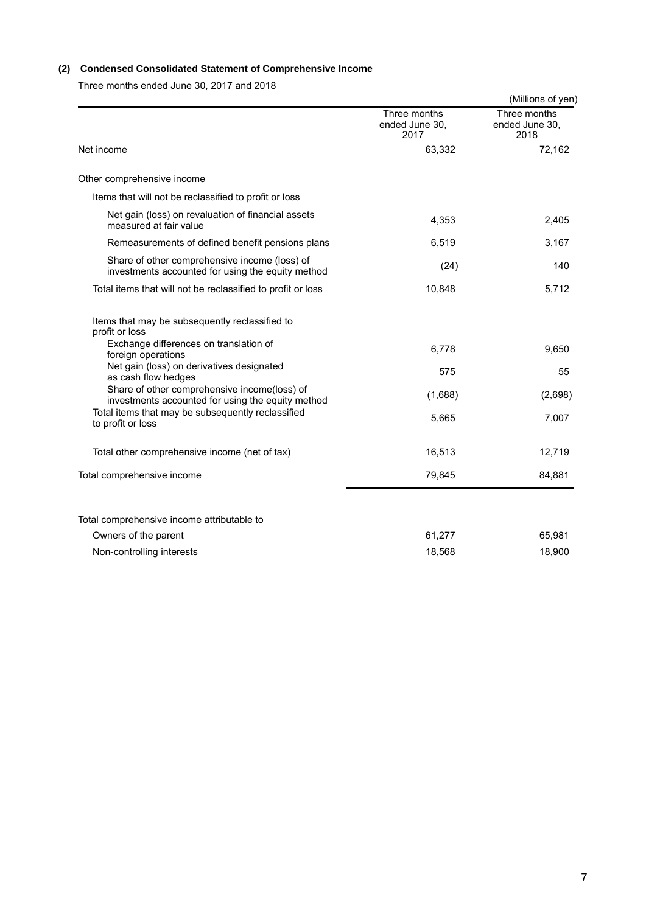# **(2) Condensed Consolidated Statement of Comprehensive Income**

Three months ended June 30, 2017 and 2018

|                                                                                                    |                                        | (Millions of yen)                      |
|----------------------------------------------------------------------------------------------------|----------------------------------------|----------------------------------------|
|                                                                                                    | Three months<br>ended June 30,<br>2017 | Three months<br>ended June 30,<br>2018 |
| Net income                                                                                         | 63,332                                 | 72,162                                 |
| Other comprehensive income                                                                         |                                        |                                        |
| Items that will not be reclassified to profit or loss                                              |                                        |                                        |
| Net gain (loss) on revaluation of financial assets<br>measured at fair value                       | 4,353                                  | 2,405                                  |
| Remeasurements of defined benefit pensions plans                                                   | 6,519                                  | 3,167                                  |
| Share of other comprehensive income (loss) of<br>investments accounted for using the equity method | (24)                                   | 140                                    |
| Total items that will not be reclassified to profit or loss                                        | 10,848                                 | 5,712                                  |
| Items that may be subsequently reclassified to<br>profit or loss                                   |                                        |                                        |
| Exchange differences on translation of<br>foreign operations                                       | 6,778                                  | 9,650                                  |
| Net gain (loss) on derivatives designated<br>as cash flow hedges                                   | 575                                    | 55                                     |
| Share of other comprehensive income(loss) of<br>investments accounted for using the equity method  | (1,688)                                | (2,698)                                |
| Total items that may be subsequently reclassified<br>to profit or loss                             | 5,665                                  | 7,007                                  |
| Total other comprehensive income (net of tax)                                                      | 16,513                                 | 12,719                                 |
| Total comprehensive income                                                                         | 79,845                                 | 84,881                                 |
| Total comprehensive income attributable to                                                         |                                        |                                        |
| Owners of the parent                                                                               | 61,277                                 | 65,981                                 |
| Non-controlling interests                                                                          | 18,568                                 | 18,900                                 |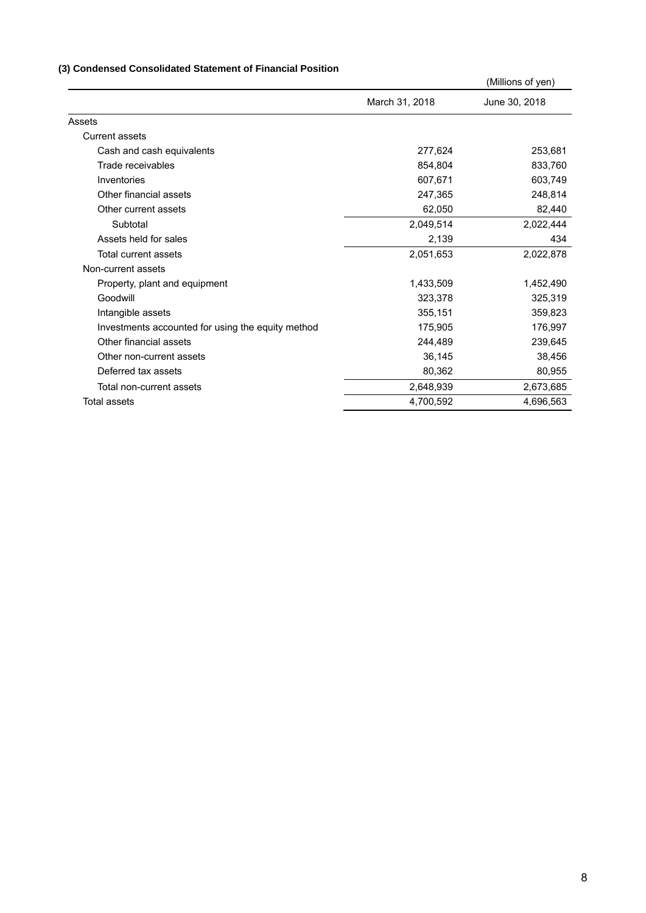# **(3) Condensed Consolidated Statement of Financial Position**

|                                                   |                | (Millions of yen) |
|---------------------------------------------------|----------------|-------------------|
|                                                   | March 31, 2018 | June 30, 2018     |
| Assets                                            |                |                   |
| Current assets                                    |                |                   |
| Cash and cash equivalents                         | 277,624        | 253,681           |
| Trade receivables                                 | 854.804        | 833,760           |
| Inventories                                       | 607,671        | 603,749           |
| Other financial assets                            | 247,365        | 248,814           |
| Other current assets                              | 62,050         | 82,440            |
| Subtotal                                          | 2,049,514      | 2,022,444         |
| Assets held for sales                             | 2,139          | 434               |
| Total current assets                              | 2,051,653      | 2,022,878         |
| Non-current assets                                |                |                   |
| Property, plant and equipment                     | 1,433,509      | 1,452,490         |
| Goodwill                                          | 323,378        | 325,319           |
| Intangible assets                                 | 355,151        | 359,823           |
| Investments accounted for using the equity method | 175,905        | 176,997           |
| Other financial assets                            | 244,489        | 239,645           |
| Other non-current assets                          | 36,145         | 38,456            |
| Deferred tax assets                               | 80,362         | 80,955            |
| Total non-current assets                          | 2,648,939      | 2,673,685         |
| Total assets                                      | 4,700,592      | 4,696,563         |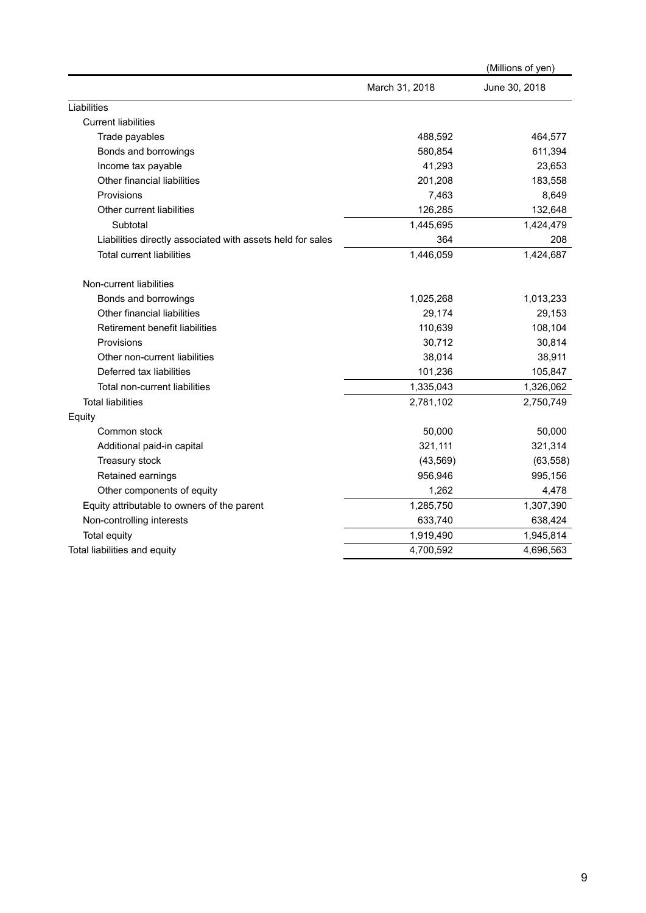|                                                            |                | (Millions of yen) |
|------------------------------------------------------------|----------------|-------------------|
|                                                            | March 31, 2018 | June 30, 2018     |
| Liabilities                                                |                |                   |
| <b>Current liabilities</b>                                 |                |                   |
| Trade payables                                             | 488,592        | 464,577           |
| Bonds and borrowings                                       | 580,854        | 611,394           |
| Income tax payable                                         | 41,293         | 23,653            |
| Other financial liabilities                                | 201,208        | 183,558           |
| Provisions                                                 | 7,463          | 8,649             |
| Other current liabilities                                  | 126,285        | 132,648           |
| Subtotal                                                   | 1,445,695      | 1,424,479         |
| Liabilities directly associated with assets held for sales | 364            | 208               |
| <b>Total current liabilities</b>                           | 1,446,059      | 1,424,687         |
| Non-current liabilities                                    |                |                   |
| Bonds and borrowings                                       | 1,025,268      | 1,013,233         |
| Other financial liabilities                                | 29,174         | 29,153            |
| Retirement benefit liabilities                             | 110,639        | 108,104           |
| Provisions                                                 | 30,712         | 30,814            |
| Other non-current liabilities                              | 38,014         | 38,911            |
| Deferred tax liabilities                                   | 101,236        | 105,847           |
| Total non-current liabilities                              | 1,335,043      | 1,326,062         |
| <b>Total liabilities</b>                                   | 2,781,102      | 2,750,749         |
| Equity                                                     |                |                   |
| Common stock                                               | 50,000         | 50,000            |
| Additional paid-in capital                                 | 321,111        | 321,314           |
| Treasury stock                                             | (43, 569)      | (63, 558)         |
| Retained earnings                                          | 956,946        | 995,156           |
| Other components of equity                                 | 1,262          | 4,478             |
| Equity attributable to owners of the parent                | 1,285,750      | 1,307,390         |
| Non-controlling interests                                  | 633,740        | 638,424           |
| Total equity                                               | 1,919,490      | 1,945,814         |
| Total liabilities and equity                               | 4,700,592      | 4,696,563         |
|                                                            |                |                   |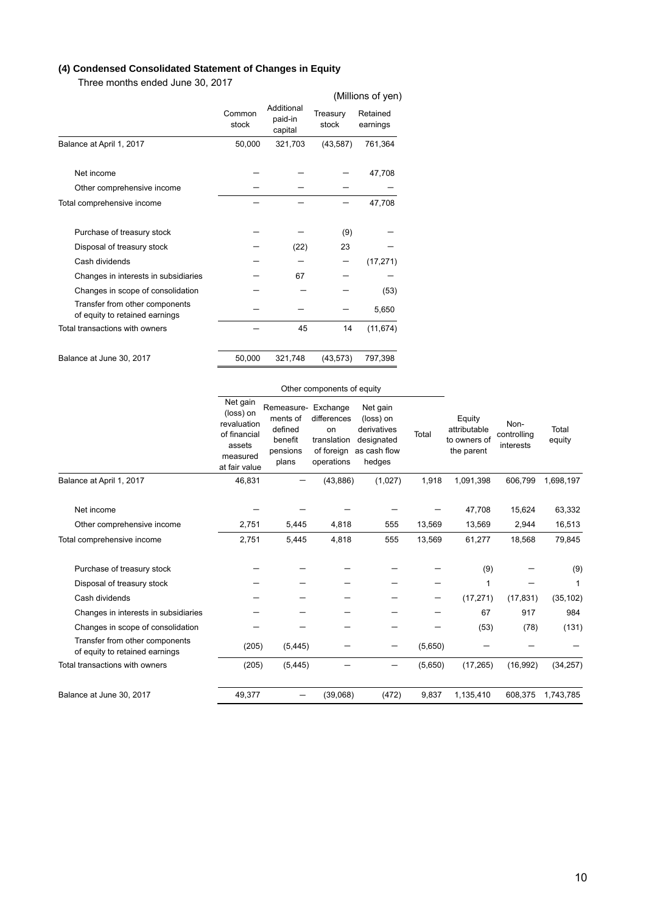# **(4) Condensed Consolidated Statement of Changes in Equity**

Three months ended June 30, 2017

|                                                                  |                 |                                  |                   | (Millions of yen)    |
|------------------------------------------------------------------|-----------------|----------------------------------|-------------------|----------------------|
|                                                                  | Common<br>stock | Additional<br>paid-in<br>capital | Treasury<br>stock | Retained<br>earnings |
| Balance at April 1, 2017                                         | 50,000          | 321,703                          | (43, 587)         | 761,364              |
|                                                                  |                 |                                  |                   |                      |
| Net income                                                       |                 |                                  |                   | 47,708               |
| Other comprehensive income                                       |                 |                                  |                   |                      |
| Total comprehensive income                                       |                 |                                  |                   | 47,708               |
|                                                                  |                 |                                  |                   |                      |
| Purchase of treasury stock                                       |                 |                                  | (9)               |                      |
| Disposal of treasury stock                                       |                 | (22)                             | 23                |                      |
| Cash dividends                                                   |                 |                                  |                   | (17, 271)            |
| Changes in interests in subsidiaries                             |                 | 67                               |                   |                      |
| Changes in scope of consolidation                                |                 |                                  |                   | (53)                 |
| Transfer from other components<br>of equity to retained earnings |                 |                                  |                   | 5,650                |
| Total transactions with owners                                   |                 | 45                               | 14                | (11, 674)            |
| Balance at June 30, 2017                                         | 50,000          | 321,748                          | (43, 573)         | 797,398              |

|                                                                  | Other components of equity                                                                  |                                                                            |                                                              |                                                                              |         |                                                      |                                  |                 |
|------------------------------------------------------------------|---------------------------------------------------------------------------------------------|----------------------------------------------------------------------------|--------------------------------------------------------------|------------------------------------------------------------------------------|---------|------------------------------------------------------|----------------------------------|-----------------|
|                                                                  | Net gain<br>(loss) on<br>revaluation<br>of financial<br>assets<br>measured<br>at fair value | Remeasure- Exchange<br>ments of<br>defined<br>benefit<br>pensions<br>plans | differences<br>on<br>translation<br>of foreign<br>operations | Net gain<br>(loss) on<br>derivatives<br>designated<br>as cash flow<br>hedges | Total   | Equity<br>attributable<br>to owners of<br>the parent | Non-<br>controlling<br>interests | Total<br>equity |
| Balance at April 1, 2017                                         | 46,831                                                                                      |                                                                            | (43, 886)                                                    | (1,027)                                                                      | 1,918   | 1,091,398                                            | 606,799                          | 1,698,197       |
| Net income                                                       |                                                                                             |                                                                            |                                                              |                                                                              |         | 47,708                                               | 15,624                           | 63,332          |
| Other comprehensive income                                       | 2,751                                                                                       | 5,445                                                                      | 4,818                                                        | 555                                                                          | 13,569  | 13,569                                               | 2,944                            | 16,513          |
| Total comprehensive income                                       | 2,751                                                                                       | 5,445                                                                      | 4,818                                                        | 555                                                                          | 13,569  | 61,277                                               | 18,568                           | 79,845          |
| Purchase of treasury stock                                       |                                                                                             |                                                                            |                                                              |                                                                              |         | (9)                                                  |                                  | (9)             |
| Disposal of treasury stock                                       |                                                                                             |                                                                            |                                                              |                                                                              |         | 1                                                    |                                  | 1               |
| Cash dividends                                                   |                                                                                             |                                                                            |                                                              |                                                                              |         | (17, 271)                                            | (17, 831)                        | (35, 102)       |
| Changes in interests in subsidiaries                             |                                                                                             |                                                                            |                                                              |                                                                              |         | 67                                                   | 917                              | 984             |
| Changes in scope of consolidation                                |                                                                                             |                                                                            |                                                              |                                                                              |         | (53)                                                 | (78)                             | (131)           |
| Transfer from other components<br>of equity to retained earnings | (205)                                                                                       | (5, 445)                                                                   |                                                              |                                                                              | (5,650) |                                                      |                                  |                 |
| Total transactions with owners                                   | (205)                                                                                       | (5, 445)                                                                   |                                                              | —                                                                            | (5,650) | (17, 265)                                            | (16, 992)                        | (34, 257)       |
| Balance at June 30, 2017                                         | 49,377                                                                                      |                                                                            | (39,068)                                                     | (472)                                                                        | 9,837   | 1,135,410                                            | 608,375                          | 1,743,785       |

# 10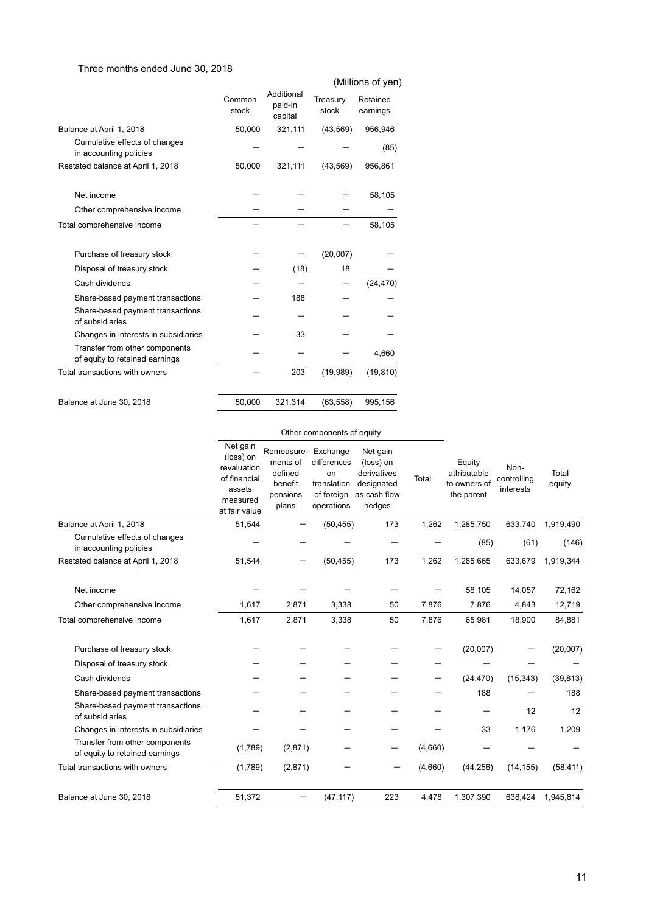# Three months ended June 30, 2018

# (Millions of yen)

|                                                                  |                 |                                  | 1                 |                      |  |
|------------------------------------------------------------------|-----------------|----------------------------------|-------------------|----------------------|--|
|                                                                  | Common<br>stock | Additional<br>paid-in<br>capital | Treasury<br>stock | Retained<br>earnings |  |
| Balance at April 1, 2018                                         | 50,000          | 321,111                          | (43, 569)         | 956,946              |  |
| Cumulative effects of changes<br>in accounting policies          |                 |                                  |                   | (85)                 |  |
| Restated balance at April 1, 2018                                | 50,000          | 321,111                          | (43, 569)         | 956,861              |  |
| Net income                                                       |                 |                                  |                   | 58,105               |  |
| Other comprehensive income                                       |                 |                                  |                   |                      |  |
| Total comprehensive income                                       |                 |                                  |                   | 58,105               |  |
| Purchase of treasury stock                                       |                 |                                  | (20,007)          |                      |  |
| Disposal of treasury stock                                       |                 | (18)                             | 18                |                      |  |
| Cash dividends                                                   |                 |                                  |                   | (24, 470)            |  |
| Share-based payment transactions                                 |                 | 188                              |                   |                      |  |
| Share-based payment transactions<br>of subsidiaries              |                 |                                  |                   |                      |  |
| Changes in interests in subsidiaries                             |                 | 33                               |                   |                      |  |
| Transfer from other components<br>of equity to retained earnings |                 |                                  |                   | 4,660                |  |
| Total transactions with owners                                   |                 | 203                              | (19,989)          | (19, 810)            |  |
| Balance at June 30, 2018                                         | 50,000          | 321,314                          | (63, 558)         | 995,156              |  |

### Other components of equity

|                                                                  | Net gain<br>(loss) on<br>revaluation<br>of financial<br>assets<br>measured<br>at fair value | Remeasure- Exchange<br>ments of<br>defined<br>benefit<br>pensions<br>plans | differences<br>on<br>translation<br>of foreign<br>operations | Net gain<br>(loss) on<br>derivatives<br>designated<br>as cash flow<br>hedges | Total   | Equity<br>attributable<br>to owners of<br>the parent | Non-<br>controlling<br>interests | Total<br>equity |
|------------------------------------------------------------------|---------------------------------------------------------------------------------------------|----------------------------------------------------------------------------|--------------------------------------------------------------|------------------------------------------------------------------------------|---------|------------------------------------------------------|----------------------------------|-----------------|
| Balance at April 1, 2018                                         | 51,544                                                                                      |                                                                            | (50, 455)                                                    | 173                                                                          | 1,262   | 1,285,750                                            | 633,740                          | 1,919,490       |
| Cumulative effects of changes<br>in accounting policies          |                                                                                             |                                                                            |                                                              |                                                                              |         | (85)                                                 | (61)                             | (146)           |
| Restated balance at April 1, 2018                                | 51,544                                                                                      |                                                                            | (50, 455)                                                    | 173                                                                          | 1,262   | 1,285,665                                            | 633,679                          | 1,919,344       |
| Net income                                                       |                                                                                             |                                                                            |                                                              |                                                                              |         | 58,105                                               | 14,057                           | 72,162          |
| Other comprehensive income                                       | 1,617                                                                                       | 2,871                                                                      | 3,338                                                        | 50                                                                           | 7,876   | 7,876                                                | 4,843                            | 12,719          |
| Total comprehensive income                                       | 1,617                                                                                       | 2,871                                                                      | 3,338                                                        | 50                                                                           | 7,876   | 65,981                                               | 18,900                           | 84,881          |
| Purchase of treasury stock                                       |                                                                                             |                                                                            |                                                              |                                                                              |         | (20,007)                                             |                                  | (20,007)        |
| Disposal of treasury stock                                       |                                                                                             |                                                                            |                                                              |                                                                              |         |                                                      |                                  |                 |
| Cash dividends                                                   |                                                                                             |                                                                            |                                                              |                                                                              |         | (24, 470)                                            | (15, 343)                        | (39, 813)       |
| Share-based payment transactions                                 |                                                                                             |                                                                            |                                                              |                                                                              |         | 188                                                  |                                  | 188             |
| Share-based payment transactions<br>of subsidiaries              |                                                                                             |                                                                            |                                                              |                                                                              |         |                                                      | 12                               | 12              |
| Changes in interests in subsidiaries                             |                                                                                             |                                                                            |                                                              |                                                                              |         | 33                                                   | 1,176                            | 1,209           |
| Transfer from other components<br>of equity to retained earnings | (1,789)                                                                                     | (2,871)                                                                    |                                                              |                                                                              | (4,660) |                                                      |                                  |                 |
| Total transactions with owners                                   | (1,789)                                                                                     | (2,871)                                                                    |                                                              | —                                                                            | (4,660) | (44, 256)                                            | (14, 155)                        | (58, 411)       |
| Balance at June 30, 2018                                         | 51,372                                                                                      |                                                                            | (47, 117)                                                    | 223                                                                          | 4,478   | 1,307,390                                            | 638,424                          | 1,945,814       |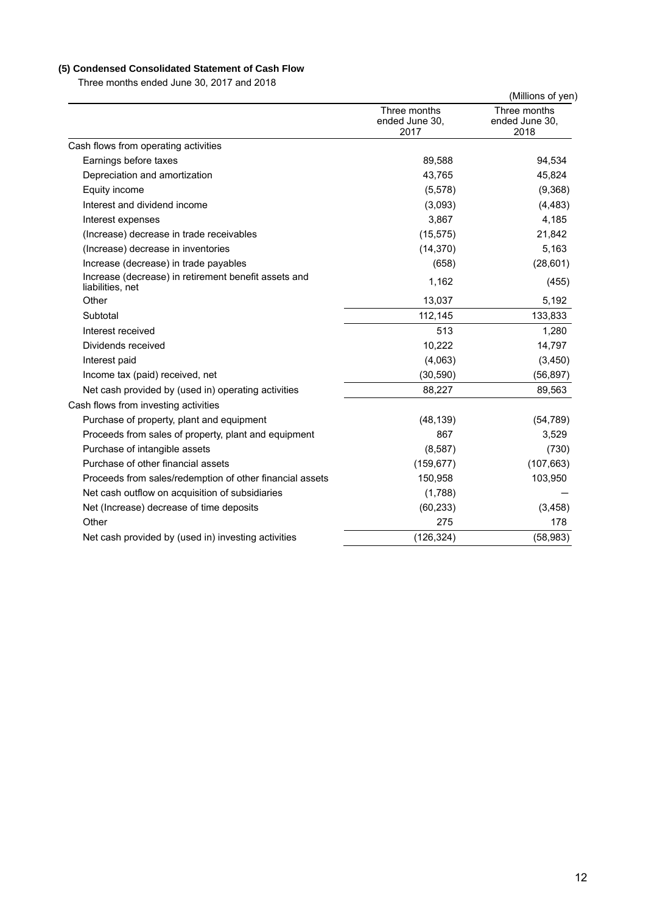# **(5) Condensed Consolidated Statement of Cash Flow**

Three months ended June 30, 2017 and 2018

|                                                                          |                                        | (Millions of yen)                      |
|--------------------------------------------------------------------------|----------------------------------------|----------------------------------------|
|                                                                          | Three months<br>ended June 30,<br>2017 | Three months<br>ended June 30,<br>2018 |
| Cash flows from operating activities                                     |                                        |                                        |
| Earnings before taxes                                                    | 89,588                                 | 94,534                                 |
| Depreciation and amortization                                            | 43,765                                 | 45,824                                 |
| Equity income                                                            | (5, 578)                               | (9,368)                                |
| Interest and dividend income                                             | (3,093)                                | (4, 483)                               |
| Interest expenses                                                        | 3,867                                  | 4,185                                  |
| (Increase) decrease in trade receivables                                 | (15, 575)                              | 21,842                                 |
| (Increase) decrease in inventories                                       | (14, 370)                              | 5,163                                  |
| Increase (decrease) in trade payables                                    | (658)                                  | (28, 601)                              |
| Increase (decrease) in retirement benefit assets and<br>liabilities, net | 1,162                                  | (455)                                  |
| Other                                                                    | 13,037                                 | 5,192                                  |
| Subtotal                                                                 | 112,145                                | 133,833                                |
| Interest received                                                        | 513                                    | 1,280                                  |
| Dividends received                                                       | 10,222                                 | 14,797                                 |
| Interest paid                                                            | (4,063)                                | (3,450)                                |
| Income tax (paid) received, net                                          | (30, 590)                              | (56, 897)                              |
| Net cash provided by (used in) operating activities                      | 88,227                                 | 89,563                                 |
| Cash flows from investing activities                                     |                                        |                                        |
| Purchase of property, plant and equipment                                | (48, 139)                              | (54, 789)                              |
| Proceeds from sales of property, plant and equipment                     | 867                                    | 3,529                                  |
| Purchase of intangible assets                                            | (8,587)                                | (730)                                  |
| Purchase of other financial assets                                       | (159, 677)                             | (107, 663)                             |
| Proceeds from sales/redemption of other financial assets                 | 150,958                                | 103,950                                |
| Net cash outflow on acquisition of subsidiaries                          | (1,788)                                |                                        |
| Net (Increase) decrease of time deposits                                 | (60, 233)                              | (3, 458)                               |
| Other                                                                    | 275                                    | 178                                    |
| Net cash provided by (used in) investing activities                      | (126, 324)                             | (58, 983)                              |
|                                                                          |                                        |                                        |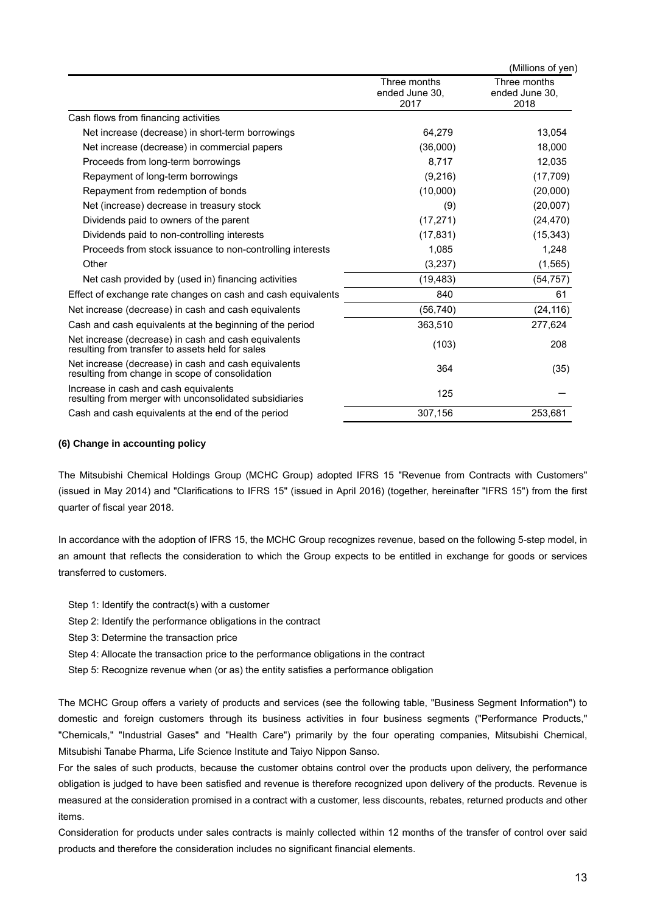|                                                                                                          |                                        | (Millions of yen)                      |
|----------------------------------------------------------------------------------------------------------|----------------------------------------|----------------------------------------|
|                                                                                                          | Three months<br>ended June 30.<br>2017 | Three months<br>ended June 30,<br>2018 |
| Cash flows from financing activities                                                                     |                                        |                                        |
| Net increase (decrease) in short-term borrowings                                                         | 64,279                                 | 13,054                                 |
| Net increase (decrease) in commercial papers                                                             | (36,000)                               | 18,000                                 |
| Proceeds from long-term borrowings                                                                       | 8,717                                  | 12,035                                 |
| Repayment of long-term borrowings                                                                        | (9,216)                                | (17, 709)                              |
| Repayment from redemption of bonds                                                                       | (10,000)                               | (20,000)                               |
| Net (increase) decrease in treasury stock                                                                | (9)                                    | (20,007)                               |
| Dividends paid to owners of the parent                                                                   | (17, 271)                              | (24, 470)                              |
| Dividends paid to non-controlling interests                                                              | (17, 831)                              | (15, 343)                              |
| Proceeds from stock issuance to non-controlling interests                                                | 1,085                                  | 1,248                                  |
| Other                                                                                                    | (3,237)                                | (1, 565)                               |
| Net cash provided by (used in) financing activities                                                      | (19, 483)                              | (54,757)                               |
| Effect of exchange rate changes on cash and cash equivalents                                             | 840                                    | 61                                     |
| Net increase (decrease) in cash and cash equivalents                                                     | (56, 740)                              | (24, 116)                              |
| Cash and cash equivalents at the beginning of the period                                                 | 363,510                                | 277,624                                |
| Net increase (decrease) in cash and cash equivalents<br>resulting from transfer to assets held for sales | (103)                                  | 208                                    |
| Net increase (decrease) in cash and cash equivalents<br>resulting from change in scope of consolidation  | 364                                    | (35)                                   |
| Increase in cash and cash equivalents<br>resulting from merger with unconsolidated subsidiaries          | 125                                    |                                        |
| Cash and cash equivalents at the end of the period                                                       | 307,156                                | 253,681                                |

### **(6) Change in accounting policy**

The Mitsubishi Chemical Holdings Group (MCHC Group) adopted IFRS 15 "Revenue from Contracts with Customers" (issued in May 2014) and "Clarifications to IFRS 15" (issued in April 2016) (together, hereinafter "IFRS 15") from the first quarter of fiscal year 2018.

In accordance with the adoption of IFRS 15, the MCHC Group recognizes revenue, based on the following 5-step model, in an amount that reflects the consideration to which the Group expects to be entitled in exchange for goods or services transferred to customers.

- Step 1: Identify the contract(s) with a customer
- Step 2: Identify the performance obligations in the contract
- Step 3: Determine the transaction price
- Step 4: Allocate the transaction price to the performance obligations in the contract
- Step 5: Recognize revenue when (or as) the entity satisfies a performance obligation

The MCHC Group offers a variety of products and services (see the following table, "Business Segment Information") to domestic and foreign customers through its business activities in four business segments ("Performance Products," ʺChemicals,ʺ ʺIndustrial Gasesʺ and ʺHealth Careʺ) primarily by the four operating companies, Mitsubishi Chemical, Mitsubishi Tanabe Pharma, Life Science Institute and Taiyo Nippon Sanso.

For the sales of such products, because the customer obtains control over the products upon delivery, the performance obligation is judged to have been satisfied and revenue is therefore recognized upon delivery of the products. Revenue is measured at the consideration promised in a contract with a customer, less discounts, rebates, returned products and other items.

Consideration for products under sales contracts is mainly collected within 12 months of the transfer of control over said products and therefore the consideration includes no significant financial elements.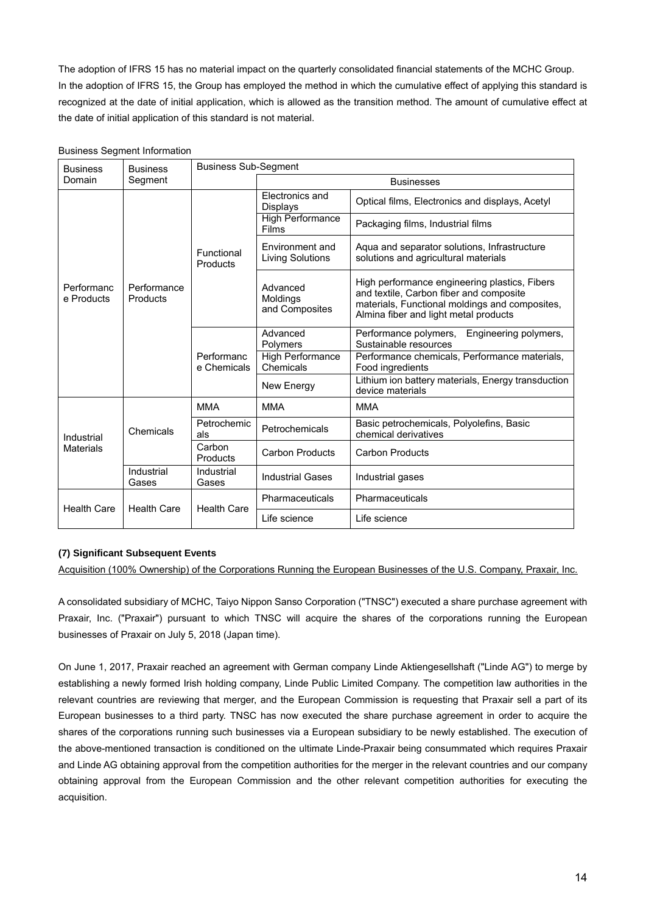The adoption of IFRS 15 has no material impact on the quarterly consolidated financial statements of the MCHC Group. In the adoption of IFRS 15, the Group has employed the method in which the cumulative effect of applying this standard is recognized at the date of initial application, which is allowed as the transition method. The amount of cumulative effect at the date of initial application of this standard is not material.

| <b>Business</b>                | <b>Business</b>         | <b>Business Sub-Segment</b> |                                        |                                                                                                                                                                                     |                                                                  |  |  |
|--------------------------------|-------------------------|-----------------------------|----------------------------------------|-------------------------------------------------------------------------------------------------------------------------------------------------------------------------------------|------------------------------------------------------------------|--|--|
| Domain                         | Segment                 |                             | <b>Businesses</b>                      |                                                                                                                                                                                     |                                                                  |  |  |
| Performanc<br>e Products       |                         | Functional<br>Products      | Electronics and<br>Displays            | Optical films, Electronics and displays, Acetyl                                                                                                                                     |                                                                  |  |  |
|                                |                         |                             | <b>High Performance</b><br>Films       | Packaging films, Industrial films                                                                                                                                                   |                                                                  |  |  |
|                                | Performance<br>Products |                             | Environment and<br>Living Solutions    | Aqua and separator solutions, Infrastructure<br>solutions and agricultural materials                                                                                                |                                                                  |  |  |
|                                |                         |                             | Advanced<br>Moldings<br>and Composites | High performance engineering plastics, Fibers<br>and textile, Carbon fiber and composite<br>materials, Functional moldings and composites,<br>Almina fiber and light metal products |                                                                  |  |  |
|                                |                         | Performanc<br>e Chemicals   | Advanced<br>Polymers                   | Performance polymers,<br>Engineering polymers,<br>Sustainable resources                                                                                                             |                                                                  |  |  |
|                                |                         |                             | <b>High Performance</b><br>Chemicals   | Performance chemicals, Performance materials,<br>Food ingredients                                                                                                                   |                                                                  |  |  |
|                                |                         |                             | New Energy                             | Lithium ion battery materials, Energy transduction<br>device materials                                                                                                              |                                                                  |  |  |
|                                |                         | <b>MMA</b>                  | <b>MMA</b>                             | <b>MMA</b>                                                                                                                                                                          |                                                                  |  |  |
| Industrial<br><b>Materials</b> | Chemicals               | Petrochemic<br>als          |                                        | Petrochemicals                                                                                                                                                                      | Basic petrochemicals, Polyolefins, Basic<br>chemical derivatives |  |  |
|                                |                         | Carbon<br>Products          | Carbon Products                        | <b>Carbon Products</b>                                                                                                                                                              |                                                                  |  |  |
|                                | Industrial<br>Gases     | Industrial<br>Gases         | <b>Industrial Gases</b>                | Industrial gases                                                                                                                                                                    |                                                                  |  |  |
| <b>Health Care</b>             | <b>Health Care</b>      |                             | Pharmaceuticals                        | Pharmaceuticals                                                                                                                                                                     |                                                                  |  |  |
|                                |                         | <b>Health Care</b>          |                                        | Life science                                                                                                                                                                        | Life science                                                     |  |  |

### Business Segment Information

### **(7) Significant Subsequent Events**

Acquisition (100% Ownership) of the Corporations Running the European Businesses of the U.S. Company, Praxair, Inc.

A consolidated subsidiary of MCHC, Taiyo Nippon Sanso Corporation ("TNSC") executed a share purchase agreement with Praxair, Inc. ("Praxair") pursuant to which TNSC will acquire the shares of the corporations running the European businesses of Praxair on July 5, 2018 (Japan time).

On June 1, 2017, Praxair reached an agreement with German company Linde Aktiengesellshaft ("Linde AG") to merge by establishing a newly formed Irish holding company, Linde Public Limited Company. The competition law authorities in the relevant countries are reviewing that merger, and the European Commission is requesting that Praxair sell a part of its European businesses to a third party. TNSC has now executed the share purchase agreement in order to acquire the shares of the corporations running such businesses via a European subsidiary to be newly established. The execution of the above-mentioned transaction is conditioned on the ultimate Linde-Praxair being consummated which requires Praxair and Linde AG obtaining approval from the competition authorities for the merger in the relevant countries and our company obtaining approval from the European Commission and the other relevant competition authorities for executing the acquisition.